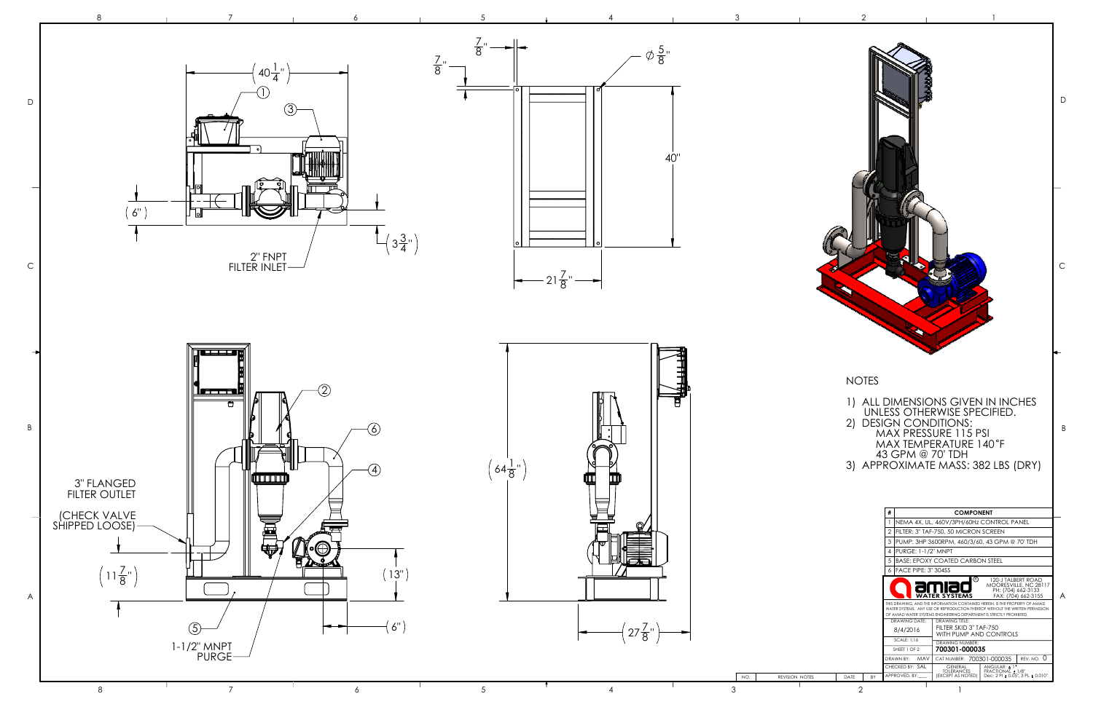

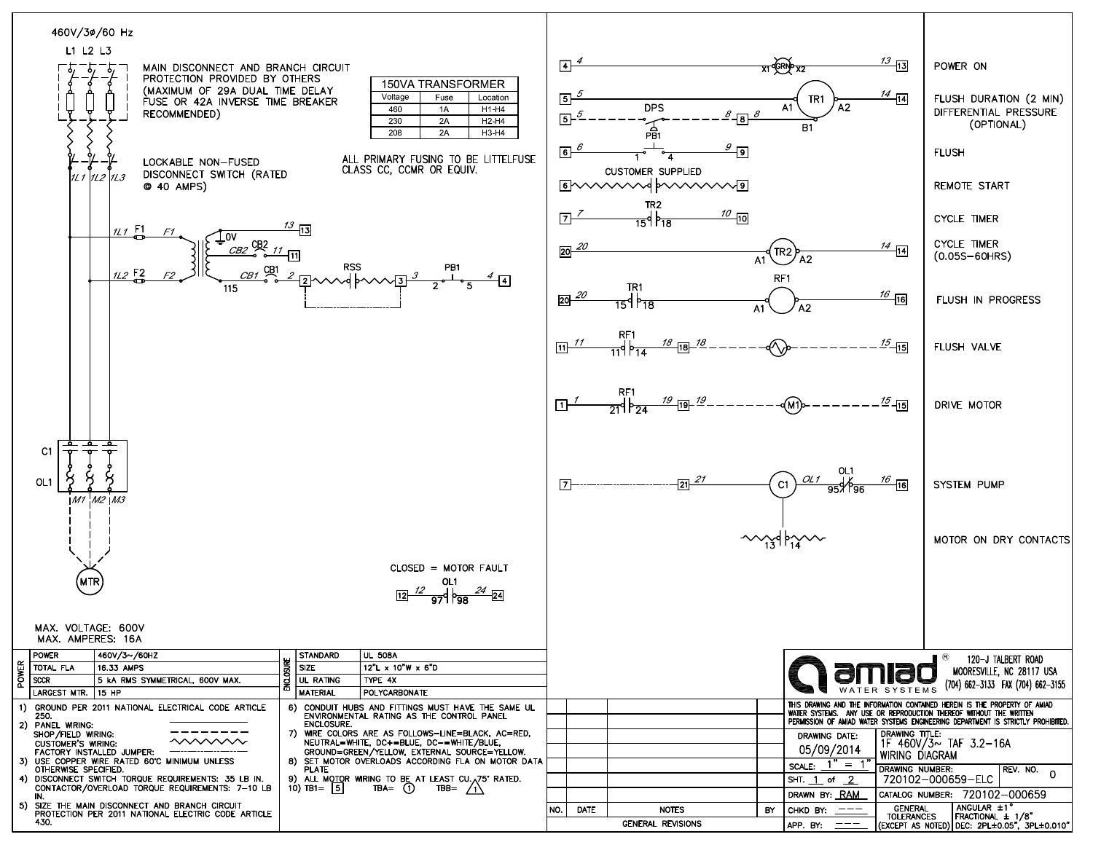